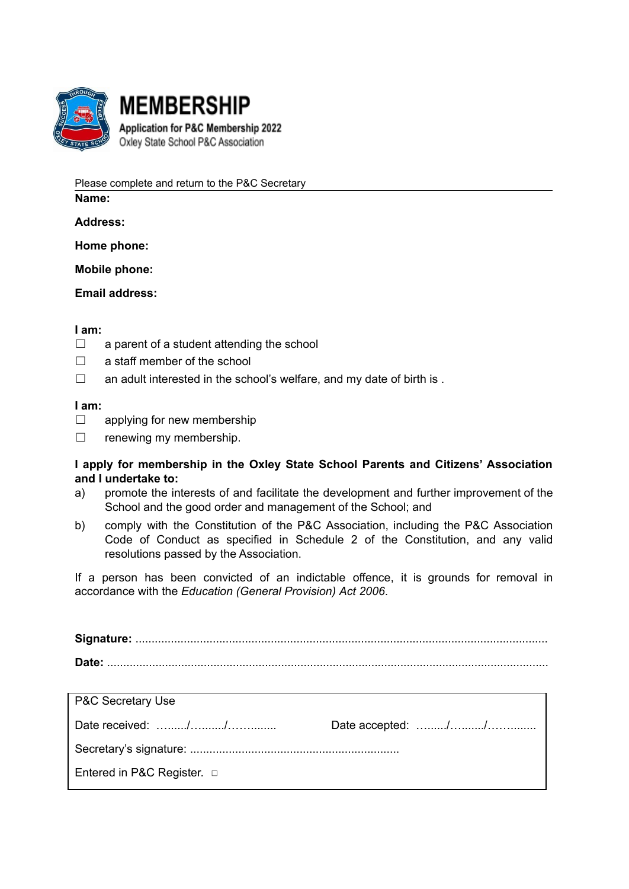

**MEMBERSHIP** Application for P&C Membership 2022 Oxley State School P&C Association

Please complete and return to the P&C Secretary

**Name:**

**Address:**

**Home phone:**

**Mobile phone:**

**Email address:**

## **I am:**

- $\Box$  a parent of a student attending the school
- $\Box$  a staff member of the school
- $\Box$  an adult interested in the school's welfare, and my date of birth is .

## **I am:**

- $\Box$  applying for new membership
- $\Box$  renewing my membership.

## **I apply for membership in the Oxley State School Parents and Citizens' Association and I undertake to:**

- a) promote the interests of and facilitate the development and further improvement of the School and the good order and management of the School; and
- b) comply with the Constitution of the P&C Association, including the P&C Association Code of Conduct as specified in Schedule 2 of the Constitution, and any valid resolutions passed by the Association.

If a person has been convicted of an indictable offence, it is grounds for removal in accordance with the *Education (General Provision) Act 2006*.

| <b>P&amp;C Secretary Use</b>    |  |
|---------------------------------|--|
|                                 |  |
|                                 |  |
| Entered in P&C Register. $\Box$ |  |